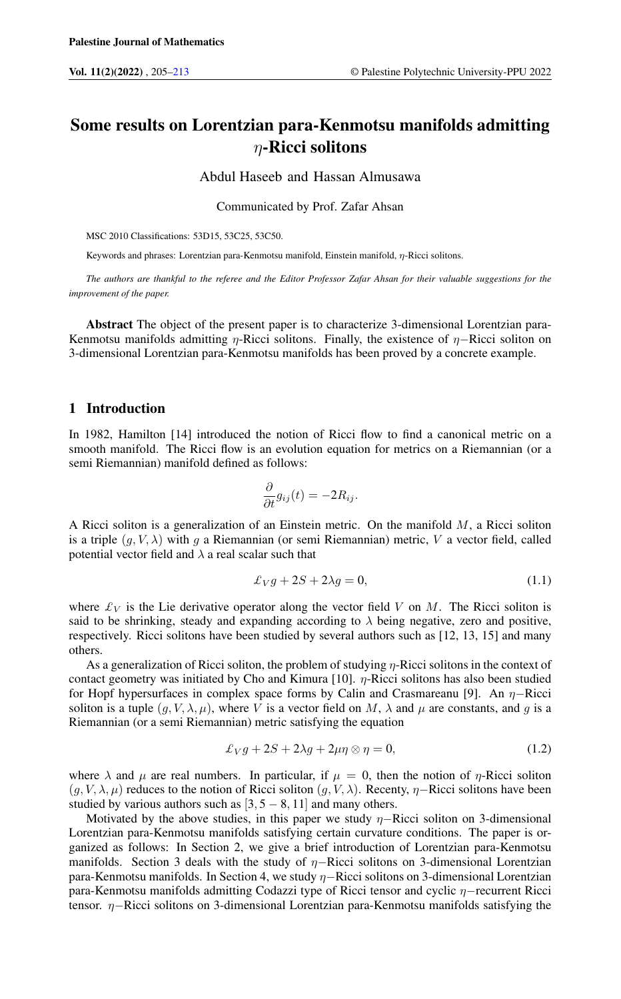# Some results on Lorentzian para-Kenmotsu manifolds admitting  $\eta$ -Ricci solitons

Abdul Haseeb and Hassan Almusawa

Communicated by Prof. Zafar Ahsan

MSC 2010 Classifications: 53D15, 53C25, 53C50.

Keywords and phrases: Lorentzian para-Kenmotsu manifold, Einstein manifold, η-Ricci solitons.

*The authors are thankful to the referee and the Editor Professor Zafar Ahsan for their valuable suggestions for the improvement of the paper.*

Abstract The object of the present paper is to characterize 3-dimensional Lorentzian para-Kenmotsu manifolds admitting  $\eta$ -Ricci solitons. Finally, the existence of  $\eta$ -Ricci soliton on 3-dimensional Lorentzian para-Kenmotsu manifolds has been proved by a concrete example.

### 1 Introduction

In 1982, Hamilton [14] introduced the notion of Ricci flow to find a canonical metric on a smooth manifold. The Ricci flow is an evolution equation for metrics on a Riemannian (or a semi Riemannian) manifold defined as follows:

$$
\frac{\partial}{\partial t}g_{ij}(t)=-2R_{ij}.
$$

A Ricci soliton is a generalization of an Einstein metric. On the manifold  $M$ , a Ricci soliton is a triple  $(q, V, \lambda)$  with q a Riemannian (or semi Riemannian) metric, V a vector field, called potential vector field and  $\lambda$  a real scalar such that

$$
\pounds_V g + 2S + 2\lambda g = 0,\tag{1.1}
$$

where  $\mathcal{L}_V$  is the Lie derivative operator along the vector field V on M. The Ricci soliton is said to be shrinking, steady and expanding according to  $\lambda$  being negative, zero and positive, respectively. Ricci solitons have been studied by several authors such as [12, 13, 15] and many others.

As a generalization of Ricci soliton, the problem of studying η-Ricci solitons in the context of contact geometry was initiated by Cho and Kimura [10].  $\eta$ -Ricci solitons has also been studied for Hopf hypersurfaces in complex space forms by Calin and Crasmareanu [9]. An  $\eta$ –Ricci soliton is a tuple  $(g, V, \lambda, \mu)$ , where V is a vector field on M,  $\lambda$  and  $\mu$  are constants, and g is a Riemannian (or a semi Riemannian) metric satisfying the equation

$$
\pounds_V g + 2S + 2\lambda g + 2\mu \eta \otimes \eta = 0, \qquad (1.2)
$$

where  $\lambda$  and  $\mu$  are real numbers. In particular, if  $\mu = 0$ , then the notion of  $\eta$ -Ricci soliton  $(g, V, \lambda, \mu)$  reduces to the notion of Ricci soliton  $(g, V, \lambda)$ . Recenty,  $\eta$ –Ricci solitons have been studied by various authors such as  $[3, 5 - 8, 11]$  and many others.

Motivated by the above studies, in this paper we study  $\eta$ –Ricci soliton on 3-dimensional Lorentzian para-Kenmotsu manifolds satisfying certain curvature conditions. The paper is organized as follows: In Section 2, we give a brief introduction of Lorentzian para-Kenmotsu manifolds. Section 3 deals with the study of  $η$ -Ricci solitons on 3-dimensional Lorentzian para-Kenmotsu manifolds. In Section 4, we study η−Ricci solitons on 3-dimensional Lorentzian para-Kenmotsu manifolds admitting Codazzi type of Ricci tensor and cyclic η−recurrent Ricci tensor. η−Ricci solitons on 3-dimensional Lorentzian para-Kenmotsu manifolds satisfying the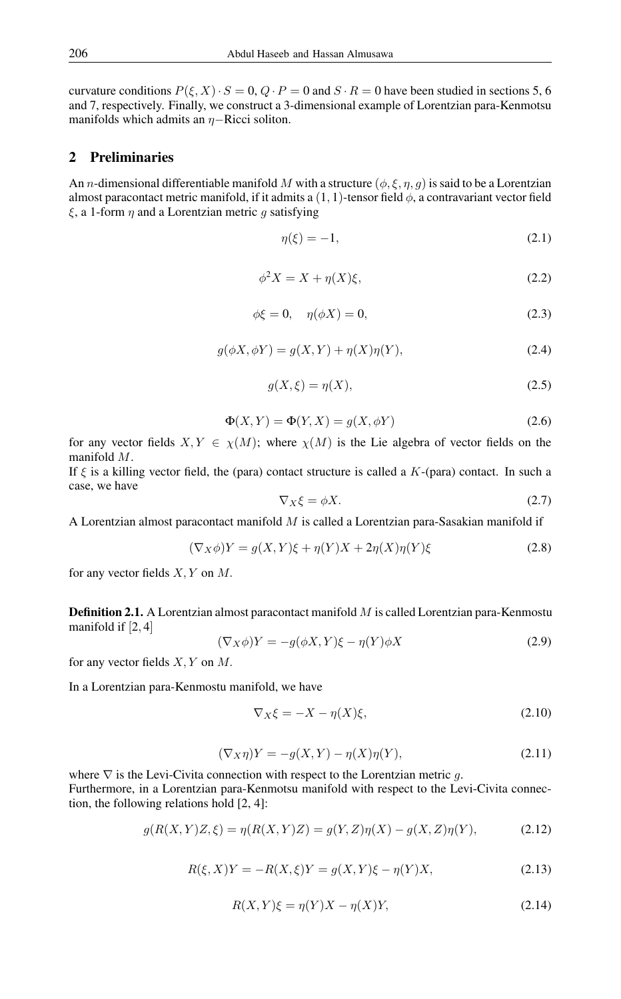curvature conditions  $P(\xi, X) \cdot S = 0$ ,  $Q \cdot P = 0$  and  $S \cdot R = 0$  have been studied in sections 5, 6 and 7, respectively. Finally, we construct a 3-dimensional example of Lorentzian para-Kenmotsu manifolds which admits an  $η$ -Ricci soliton.

## 2 Preliminaries

An *n*-dimensional differentiable manifold M with a structure  $(\phi, \xi, \eta, g)$  is said to be a Lorentzian almost paracontact metric manifold, if it admits a  $(1, 1)$ -tensor field  $\phi$ , a contravariant vector field  $\xi$ , a 1-form  $\eta$  and a Lorentzian metric q satisfying

$$
\eta(\xi) = -1,\tag{2.1}
$$

$$
\phi^2 X = X + \eta(X)\xi,\tag{2.2}
$$

$$
\phi \xi = 0, \quad \eta(\phi X) = 0,\tag{2.3}
$$

$$
g(\phi X, \phi Y) = g(X, Y) + \eta(X)\eta(Y),\tag{2.4}
$$

$$
g(X,\xi) = \eta(X),\tag{2.5}
$$

$$
\Phi(X,Y) = \Phi(Y,X) = g(X,\phi Y) \tag{2.6}
$$

for any vector fields  $X, Y \in \chi(M)$ ; where  $\chi(M)$  is the Lie algebra of vector fields on the manifold M.

If  $\xi$  is a killing vector field, the (para) contact structure is called a  $K$ -(para) contact. In such a case, we have

$$
\nabla_X \xi = \phi X. \tag{2.7}
$$

A Lorentzian almost paracontact manifold M is called a Lorentzian para-Sasakian manifold if

$$
(\nabla_X \phi)Y = g(X, Y)\xi + \eta(Y)X + 2\eta(X)\eta(Y)\xi
$$
\n(2.8)

for any vector fields  $X, Y$  on  $M$ .

Definition 2.1. A Lorentzian almost paracontact manifold M is called Lorentzian para-Kenmostu manifold if [2, 4]

$$
(\nabla_X \phi)Y = -g(\phi X, Y)\xi - \eta(Y)\phi X \tag{2.9}
$$

for any vector fields  $X, Y$  on  $M$ .

In a Lorentzian para-Kenmostu manifold, we have

$$
\nabla_X \xi = -X - \eta(X)\xi,\tag{2.10}
$$

$$
(\nabla_X \eta)Y = -g(X, Y) - \eta(X)\eta(Y),\tag{2.11}
$$

where  $\nabla$  is the Levi-Civita connection with respect to the Lorentzian metric g. Furthermore, in a Lorentzian para-Kenmotsu manifold with respect to the Levi-Civita connection, the following relations hold [2, 4]:

$$
g(R(X,Y)Z,\xi) = \eta(R(X,Y)Z) = g(Y,Z)\eta(X) - g(X,Z)\eta(Y),
$$
\n(2.12)

$$
R(\xi, X)Y = -R(X, \xi)Y = g(X, Y)\xi - \eta(Y)X, \tag{2.13}
$$

$$
R(X,Y)\xi = \eta(Y)X - \eta(X)Y,\tag{2.14}
$$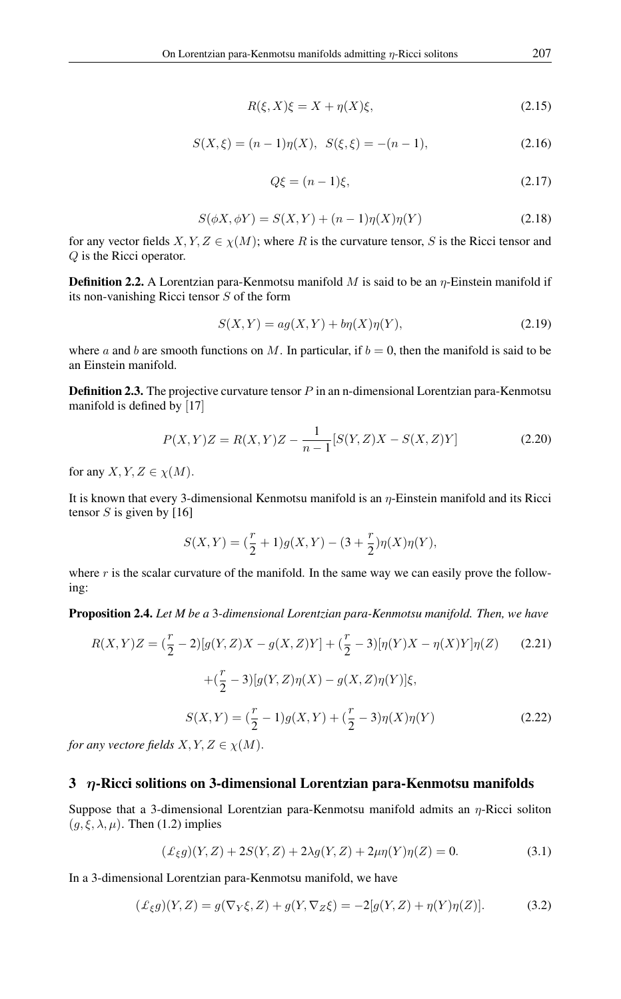$$
R(\xi, X)\xi = X + \eta(X)\xi,\tag{2.15}
$$

$$
S(X,\xi) = (n-1)\eta(X), \ \ S(\xi,\xi) = -(n-1), \tag{2.16}
$$

$$
Q\xi = (n-1)\xi,\tag{2.17}
$$

$$
S(\phi X, \phi Y) = S(X, Y) + (n - 1)\eta(X)\eta(Y)
$$
\n(2.18)

for any vector fields  $X, Y, Z \in \chi(M)$ ; where R is the curvature tensor, S is the Ricci tensor and Q is the Ricci operator.

**Definition 2.2.** A Lorentzian para-Kenmotsu manifold M is said to be an  $\eta$ -Einstein manifold if its non-vanishing Ricci tensor S of the form

$$
S(X,Y) = ag(X,Y) + b\eta(X)\eta(Y),\tag{2.19}
$$

where a and b are smooth functions on M. In particular, if  $b = 0$ , then the manifold is said to be an Einstein manifold.

**Definition 2.3.** The projective curvature tensor  $P$  in an n-dimensional Lorentzian para-Kenmotsu manifold is defined by [17]

$$
P(X,Y)Z = R(X,Y)Z - \frac{1}{n-1}[S(Y,Z)X - S(X,Z)Y]
$$
\n(2.20)

for any  $X, Y, Z \in \chi(M)$ .

It is known that every 3-dimensional Kenmotsu manifold is an  $\eta$ -Einstein manifold and its Ricci tensor  $S$  is given by [16]

$$
S(X,Y) = (\frac{r}{2} + 1)g(X,Y) - (3 + \frac{r}{2})\eta(X)\eta(Y),
$$

where  $r$  is the scalar curvature of the manifold. In the same way we can easily prove the following:

Proposition 2.4. *Let M be a* 3*-dimensional Lorentzian para-Kenmotsu manifold. Then, we have*

$$
R(X,Y)Z = \left(\frac{r}{2} - 2\right)[g(Y,Z)X - g(X,Z)Y] + \left(\frac{r}{2} - 3\right)[\eta(Y)X - \eta(X)Y]\eta(Z) \tag{2.21}
$$

$$
+ \left(\frac{r}{2} - 3\right)[g(Y,Z)\eta(X) - g(X,Z)\eta(Y)]\xi,
$$

$$
S(X,Y) = \left(\frac{r}{2} - 1\right)g(X,Y) + \left(\frac{r}{2} - 3\right)\eta(X)\eta(Y) \tag{2.22}
$$

*for any vectore fields*  $X, Y, Z \in \chi(M)$ .

#### $3$   $\eta$ -Ricci solitions on 3-dimensional Lorentzian para-Kenmotsu manifolds

Suppose that a 3-dimensional Lorentzian para-Kenmotsu manifold admits an  $\eta$ -Ricci soliton  $(g, \xi, \lambda, \mu)$ . Then (1.2) implies

$$
(\pounds_{\xi}g)(Y,Z) + 2S(Y,Z) + 2\lambda g(Y,Z) + 2\mu \eta(Y)\eta(Z) = 0.
$$
 (3.1)

In a 3-dimensional Lorentzian para-Kenmotsu manifold, we have

$$
(\mathcal{L}_{\xi}g)(Y,Z) = g(\nabla_Y \xi, Z) + g(Y, \nabla_Z \xi) = -2[g(Y, Z) + \eta(Y)\eta(Z)].
$$
\n(3.2)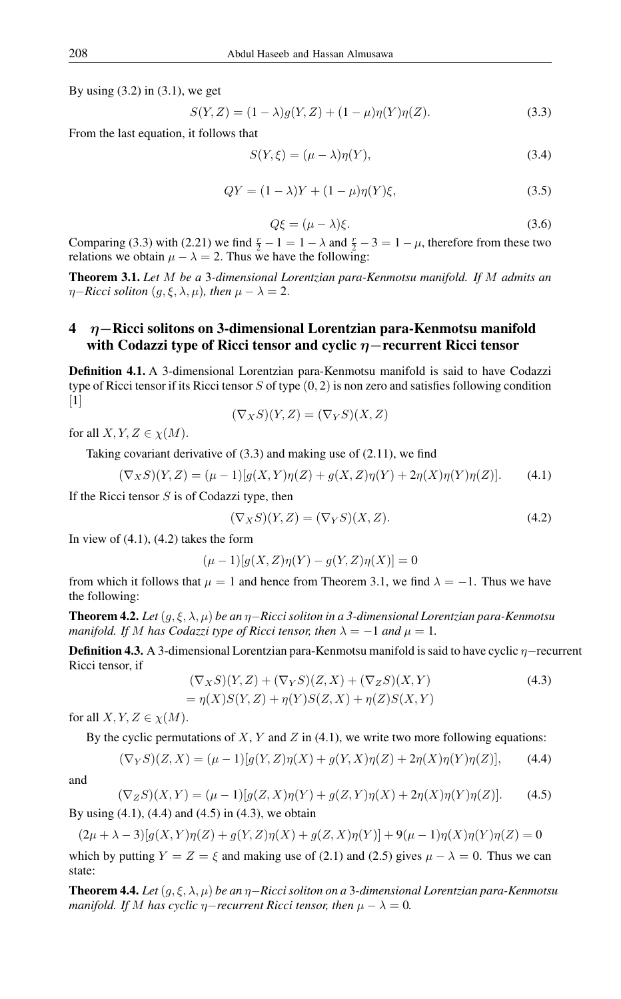By using  $(3.2)$  in  $(3.1)$ , we get

$$
S(Y, Z) = (1 - \lambda)g(Y, Z) + (1 - \mu)\eta(Y)\eta(Z). \tag{3.3}
$$

From the last equation, it follows that

$$
S(Y,\xi) = (\mu - \lambda)\eta(Y),\tag{3.4}
$$

$$
QY = (1 - \lambda)Y + (1 - \mu)\eta(Y)\xi,
$$
\n(3.5)

$$
Q\xi = (\mu - \lambda)\xi. \tag{3.6}
$$

Comparing (3.3) with (2.21) we find  $\frac{r}{2} - 1 = 1 - \lambda$  and  $\frac{r}{2} - 3 = 1 - \mu$ , therefore from these two relations we obtain  $\mu - \lambda = 2$ . Thus we have the following:

Theorem 3.1. *Let* M *be a* 3*-dimensional Lorentzian para-Kenmotsu manifold. If* M *admits an*  $\eta$ *−Ricci soliton*  $(g, \xi, \lambda, \mu)$ *, then*  $\mu - \lambda = 2$ *.* 

## 4 η−Ricci solitons on 3-dimensional Lorentzian para-Kenmotsu manifold with Codazzi type of Ricci tensor and cyclic  $η$  – recurrent Ricci tensor

Definition 4.1. A 3-dimensional Lorentzian para-Kenmotsu manifold is said to have Codazzi type of Ricci tensor if its Ricci tensor  $S$  of type  $(0, 2)$  is non zero and satisfies following condition  $\lceil 1 \rceil$ 

$$
(\nabla_X S)(Y,Z) = (\nabla_Y S)(X,Z)
$$

for all  $X, Y, Z \in \chi(M)$ .

Taking covariant derivative of (3.3) and making use of (2.11), we find

$$
(\nabla_X S)(Y,Z) = (\mu - 1)[g(X,Y)\eta(Z) + g(X,Z)\eta(Y) + 2\eta(X)\eta(Y)\eta(Z)].
$$
 (4.1)

If the Ricci tensor  $S$  is of Codazzi type, then

$$
(\nabla_X S)(Y,Z) = (\nabla_Y S)(X,Z). \tag{4.2}
$$

In view of  $(4.1)$ ,  $(4.2)$  takes the form

$$
(\mu - 1)[g(X, Z)\eta(Y) - g(Y, Z)\eta(X)] = 0
$$

from which it follows that  $\mu = 1$  and hence from Theorem 3.1, we find  $\lambda = -1$ . Thus we have the following:

Theorem 4.2. *Let*(g, ξ, λ, µ) *be an* η−*Ricci soliton in a 3-dimensional Lorentzian para-Kenmotsu manifold. If* M *has Codazzi type of Ricci tensor, then*  $\lambda = -1$  *and*  $\mu = 1$ *.* 

**Definition 4.3.** A 3-dimensional Lorentzian para-Kenmotsu manifold is said to have cyclic  $\eta$ −recurrent Ricci tensor, if

$$
(\nabla_X S)(Y,Z) + (\nabla_Y S)(Z,X) + (\nabla_Z S)(X,Y)
$$
  
=  $\eta(X)S(Y,Z) + \eta(Y)S(Z,X) + \eta(Z)S(X,Y)$  (4.3)

for all  $X, Y, Z \in \chi(M)$ .

By the cyclic permutations of  $X, Y$  and  $Z$  in (4.1), we write two more following equations:

$$
(\nabla_Y S)(Z, X) = (\mu - 1)[g(Y, Z)\eta(X) + g(Y, X)\eta(Z) + 2\eta(X)\eta(Y)\eta(Z)],
$$
 (4.4)

and

$$
(\nabla_Z S)(X, Y) = (\mu - 1)[g(Z, X)\eta(Y) + g(Z, Y)\eta(X) + 2\eta(X)\eta(Y)\eta(Z)].
$$
 (4.5)

By using  $(4.1)$ ,  $(4.4)$  and  $(4.5)$  in  $(4.3)$ , we obtain

 $(2\mu + \lambda - 3)[g(X, Y)\eta(Z) + g(Y, Z)\eta(X) + g(Z, X)\eta(Y)] + 9(\mu - 1)\eta(X)\eta(Y)\eta(Z) = 0$ which by putting  $Y = Z = \xi$  and making use of (2.1) and (2.5) gives  $\mu - \lambda = 0$ . Thus we can state:

Theorem 4.4. *Let*(g, ξ, λ, µ) *be an* η−*Ricci soliton on a* 3*-dimensional Lorentzian para-Kenmotsu manifold. If* M has cyclic  $\eta$ −*recurrent Ricci tensor, then*  $\mu - \lambda = 0$ *.*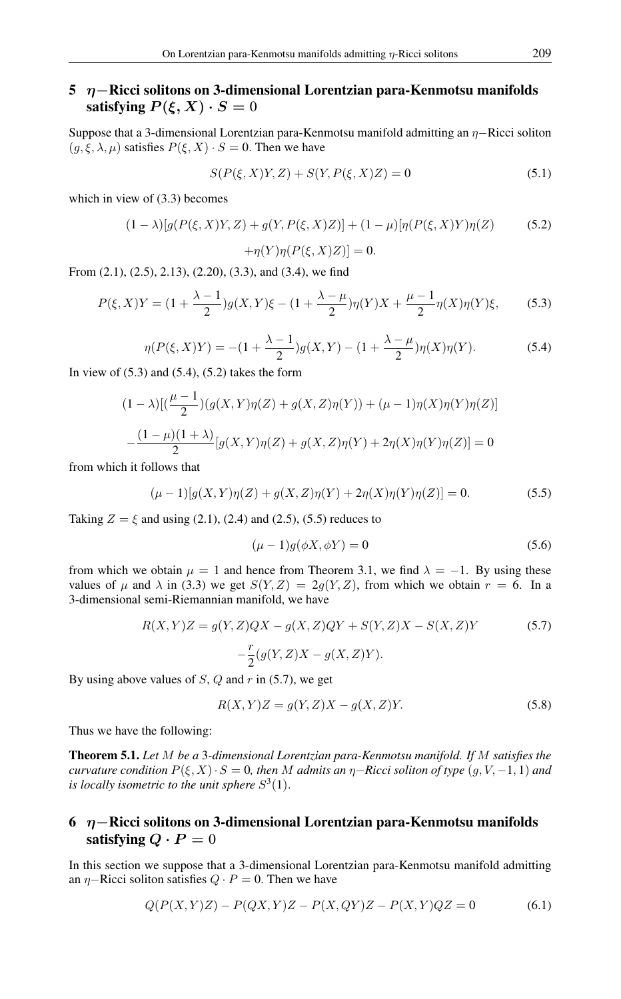## 5  $η$ −Ricci solitons on 3-dimensional Lorentzian para-Kenmotsu manifolds satisfying  $P(\xi, X) \cdot S = 0$

Suppose that a 3-dimensional Lorentzian para-Kenmotsu manifold admitting an η−Ricci soliton  $(g, \xi, \lambda, \mu)$  satisfies  $P(\xi, X) \cdot S = 0$ . Then we have

$$
S(P(\xi, X)Y, Z) + S(Y, P(\xi, X)Z) = 0
$$
\n(5.1)

which in view of  $(3.3)$  becomes

$$
(1 - \lambda)[g(P(\xi, X)Y, Z) + g(Y, P(\xi, X)Z)] + (1 - \mu)[\eta(P(\xi, X)Y)\eta(Z)] \tag{5.2}
$$

$$
+\eta(Y)\eta(P(\xi,X)Z)]=0.
$$

From (2.1), (2.5), 2.13), (2.20), (3.3), and (3.4), we find

$$
P(\xi, X)Y = (1 + \frac{\lambda - 1}{2})g(X, Y)\xi - (1 + \frac{\lambda - \mu}{2})\eta(Y)X + \frac{\mu - 1}{2}\eta(X)\eta(Y)\xi, \tag{5.3}
$$

$$
\eta(P(\xi, X)Y) = -(1 + \frac{\lambda - 1}{2})g(X, Y) - (1 + \frac{\lambda - \mu}{2})\eta(X)\eta(Y). \tag{5.4}
$$

In view of  $(5.3)$  and  $(5.4)$ ,  $(5.2)$  takes the form

$$
(1 - \lambda)[(\frac{\mu - 1}{2})(g(X, Y)\eta(Z) + g(X, Z)\eta(Y)) + (\mu - 1)\eta(X)\eta(Y)\eta(Z)]
$$

$$
-\frac{(1 - \mu)(1 + \lambda)}{2}[g(X, Y)\eta(Z) + g(X, Z)\eta(Y) + 2\eta(X)\eta(Y)\eta(Z)] = 0
$$

from which it follows that

$$
(\mu - 1)[g(X, Y)\eta(Z) + g(X, Z)\eta(Y) + 2\eta(X)\eta(Y)\eta(Z)] = 0.
$$
\n(5.5)

Taking  $Z = \xi$  and using (2.1), (2.4) and (2.5), (5.5) reduces to

$$
(\mu - 1)g(\phi X, \phi Y) = 0 \tag{5.6}
$$

from which we obtain  $\mu = 1$  and hence from Theorem 3.1, we find  $\lambda = -1$ . By using these values of  $\mu$  and  $\lambda$  in (3.3) we get  $S(Y, Z) = 2g(Y, Z)$ , from which we obtain  $r = 6$ . In a 3-dimensional semi-Riemannian manifold, we have

$$
R(X,Y)Z = g(Y,Z)QX - g(X,Z)QY + S(Y,Z)X - S(X,Z)Y
$$
  

$$
-\frac{r}{2}(g(Y,Z)X - g(X,Z)Y).
$$
 (5.7)

By using above values of  $S$ ,  $Q$  and  $r$  in (5.7), we get

$$
R(X,Y)Z = g(Y,Z)X - g(X,Z)Y.
$$
\n
$$
(5.8)
$$

Thus we have the following:

Theorem 5.1. *Let* M *be a* 3*-dimensional Lorentzian para-Kenmotsu manifold. If* M *satisfies the curvature condition*  $P(\xi, X) \cdot S = 0$ , then M admits an  $\eta$ -Ricci soliton of type  $(g, V, -1, 1)$  and is locally isometric to the unit sphere  $S^3(1)$ .

# 6 η−Ricci solitons on 3-dimensional Lorentzian para-Kenmotsu manifolds satisfying  $Q \cdot P = 0$

In this section we suppose that a 3-dimensional Lorentzian para-Kenmotsu manifold admitting an  $\eta$ –Ricci soliton satisfies  $Q \cdot P = 0$ . Then we have

$$
Q(P(X,Y)Z) - P(QX,Y)Z - P(X,QY)Z - P(X,Y)QZ = 0
$$
\n(6.1)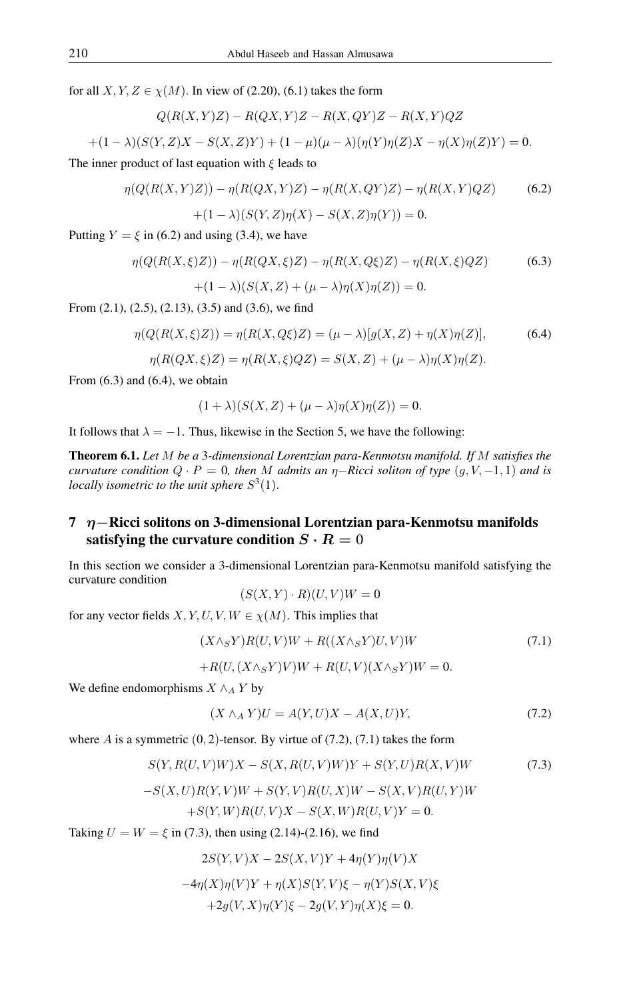for all  $X, Y, Z \in \chi(M)$ . In view of (2.20), (6.1) takes the form

$$
Q(R(X,Y)Z) - R(QX,Y)Z - R(X,QY)Z - R(X,Y)QZ
$$

$$
+(1 - \lambda)(S(Y, Z)X - S(X, Z)Y) + (1 - \mu)(\mu - \lambda)(\eta(Y)\eta(Z)X - \eta(X)\eta(Z)Y) = 0.
$$

The inner product of last equation with  $\xi$  leads to

$$
\eta(Q(R(X, Y)Z)) - \eta(R(QX, Y)Z) - \eta(R(X, QY)Z) - \eta(R(X, Y)QZ)
$$
\n
$$
+ (1 - \lambda)(S(Y, Z)\eta(X) - S(X, Z)\eta(Y)) = 0.
$$
\n(6.2)

Putting  $Y = \xi$  in (6.2) and using (3.4), we have

$$
\eta(Q(R(X,\xi)Z)) - \eta(R(QX,\xi)Z) - \eta(R(X,Q\xi)Z) - \eta(R(X,\xi)QZ)
$$
\n
$$
+ (1 - \lambda)(S(X,Z) + (\mu - \lambda)\eta(X)\eta(Z)) = 0.
$$
\n(6.3)

From (2.1), (2.5), (2.13), (3.5) and (3.6), we find

$$
\eta(Q(R(X,\xi)Z)) = \eta(R(X,Q\xi)Z) = (\mu - \lambda)[g(X,Z) + \eta(X)\eta(Z)],
$$
\n(6.4)

$$
\eta(R(QX,\xi)Z) = \eta(R(X,\xi)QZ) = S(X,Z) + (\mu - \lambda)\eta(X)\eta(Z).
$$

From  $(6.3)$  and  $(6.4)$ , we obtain

$$
(1 + \lambda)(S(X, Z) + (\mu - \lambda)\eta(X)\eta(Z)) = 0.
$$

It follows that  $\lambda = -1$ . Thus, likewise in the Section 5, we have the following:

Theorem 6.1. *Let* M *be a* 3*-dimensional Lorentzian para-Kenmotsu manifold. If* M *satisfies the curvature condition*  $Q \cdot P = 0$ *, then* M *admits an*  $\eta$ -*Ricci soliton of type*  $(q, V, -1, 1)$  *and is locally isometric to the unit sphere*  $S^3(1)$ .

# 7 η−Ricci solitons on 3-dimensional Lorentzian para-Kenmotsu manifolds satisfying the curvature condition  $S \cdot R = 0$

In this section we consider a 3-dimensional Lorentzian para-Kenmotsu manifold satisfying the curvature condition

 $(S(X, Y) \cdot R)(U, V)W = 0$ 

for any vector fields  $X, Y, U, V, W \in \chi(M)$ . This implies that

$$
(X \wedge_S Y)R(U, V)W + R((X \wedge_S Y)U, V)W \tag{7.1}
$$

$$
+R(U,(X\wedge_S Y)V)W + R(U,V)(X\wedge_S Y)W = 0.
$$

We define endomorphisms  $X \wedge_A Y$  by

$$
(X \wedge_A Y)U = A(Y, U)X - A(X, U)Y,\tag{7.2}
$$

where A is a symmetric  $(0, 2)$ -tensor. By virtue of  $(7.2)$ ,  $(7.1)$  takes the form

$$
S(Y, R(U, V)W)X - S(X, R(U, V)W)Y + S(Y, U)R(X, V)W
$$
\n(7.3)

$$
-S(X,U)R(Y,V)W + S(Y,V)R(U,X)W - S(X,V)R(U,Y)W
$$

$$
+S(Y,W)R(U,V)X - S(X,W)R(U,V)Y = 0.
$$

Taking  $U = W = \xi$  in (7.3), then using (2.14)-(2.16), we find

$$
2S(Y, V)X - 2S(X, V)Y + 4\eta(Y)\eta(V)X
$$

$$
-4\eta(X)\eta(V)Y + \eta(X)S(Y, V)\xi - \eta(Y)S(X, V)\xi
$$

$$
+2g(V, X)\eta(Y)\xi - 2g(V, Y)\eta(X)\xi = 0.
$$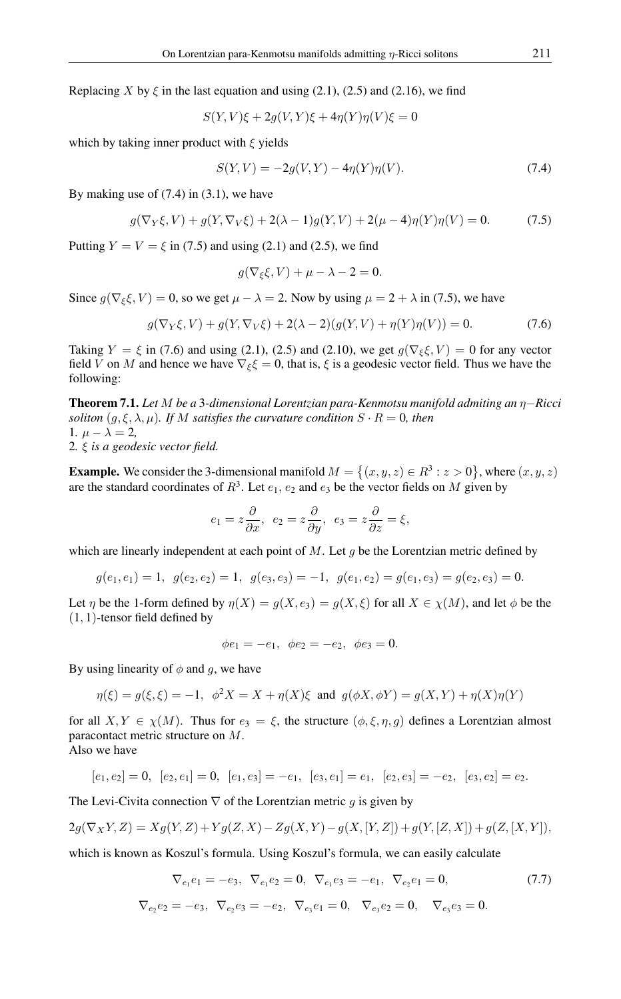Replacing X by  $\xi$  in the last equation and using (2.1), (2.5) and (2.16), we find

$$
S(Y, V)\xi + 2g(V, Y)\xi + 4\eta(Y)\eta(V)\xi = 0
$$

which by taking inner product with  $\xi$  yields

$$
S(Y, V) = -2g(V, Y) - 4\eta(Y)\eta(V). \tag{7.4}
$$

By making use of  $(7.4)$  in  $(3.1)$ , we have

$$
g(\nabla_Y \xi, V) + g(Y, \nabla_V \xi) + 2(\lambda - 1)g(Y, V) + 2(\mu - 4)\eta(Y)\eta(V) = 0.
$$
 (7.5)

Putting  $Y = V = \xi$  in (7.5) and using (2.1) and (2.5), we find

$$
g(\nabla_{\xi}\xi, V) + \mu - \lambda - 2 = 0.
$$

Since  $g(\nabla_{\xi} \xi, V) = 0$ , so we get  $\mu - \lambda = 2$ . Now by using  $\mu = 2 + \lambda$  in (7.5), we have

$$
g(\nabla_Y \xi, V) + g(Y, \nabla_V \xi) + 2(\lambda - 2)(g(Y, V) + \eta(Y)\eta(V)) = 0.
$$
 (7.6)

Taking  $Y = \xi$  in (7.6) and using (2.1), (2.5) and (2.10), we get  $g(\nabla_{\xi} \xi, V) = 0$  for any vector field V on M and hence we have  $\nabla_{\xi} \xi = 0$ , that is,  $\xi$  is a geodesic vector field. Thus we have the following:

Theorem 7.1. *Let* M *be a* 3*-dimensional Lorentzian para-Kenmotsu manifold admiting an* η−*Ricci soliton*  $(g, \xi, \lambda, \mu)$ *. If* M *satisfies the curvature condition*  $S \cdot R = 0$ *, then* 1*.*  $\mu - \lambda = 2$ , 2*.* ξ *is a geodesic vector field.*

**Example.** We consider the 3-dimensional manifold  $M = \{(x, y, z) \in \mathbb{R}^3 : z > 0\}$ , where  $(x, y, z)$ are the standard coordinates of  $R^3$ . Let  $e_1, e_2$  and  $e_3$  be the vector fields on M given by

$$
e_1 = z \frac{\partial}{\partial x}, e_2 = z \frac{\partial}{\partial y}, e_3 = z \frac{\partial}{\partial z} = \xi,
$$

which are linearly independent at each point of  $M$ . Let g be the Lorentzian metric defined by

$$
g(e_1,e_1)=1,\ \ g(e_2,e_2)=1,\ \ g(e_3,e_3)=-1,\ \ g(e_1,e_2)=g(e_1,e_3)=g(e_2,e_3)=0.
$$

Let  $\eta$  be the 1-form defined by  $\eta(X) = g(X, e_3) = g(X, \xi)$  for all  $X \in \chi(M)$ , and let  $\phi$  be the (1, 1)-tensor field defined by

$$
\phi e_1 = -e_1, \ \phi e_2 = -e_2, \ \phi e_3 = 0.
$$

By using linearity of  $\phi$  and g, we have

$$
\eta(\xi) = g(\xi, \xi) = -1, \ \ \phi^2 X = X + \eta(X)\xi \ \ \text{and} \ \ g(\phi X, \phi Y) = g(X, Y) + \eta(X)\eta(Y)
$$

for all  $X, Y \in \chi(M)$ . Thus for  $e_3 = \xi$ , the structure  $(\phi, \xi, \eta, g)$  defines a Lorentzian almost paracontact metric structure on M.

Also we have

$$
[e_1, e_2] = 0
$$
,  $[e_2, e_1] = 0$ ,  $[e_1, e_3] = -e_1$ ,  $[e_3, e_1] = e_1$ ,  $[e_2, e_3] = -e_2$ ,  $[e_3, e_2] = e_2$ .

The Levi-Civita connection  $\nabla$  of the Lorentzian metric g is given by

$$
2g(\nabla_XY,Z)=Xg(Y,Z)+Yg(Z,X)-Zg(X,Y)-g(X,[Y,Z])+g(Y,[Z,X])+g(Z,[X,Y]),
$$

which is known as Koszul's formula. Using Koszul's formula, we can easily calculate

$$
\nabla_{e_1} e_1 = -e_3, \ \nabla_{e_1} e_2 = 0, \ \nabla_{e_1} e_3 = -e_1, \ \nabla_{e_2} e_1 = 0,\tag{7.7}
$$

$$
\nabla_{e_2}e_2=-e_3, \ \nabla_{e_2}e_3=-e_2, \ \nabla_{e_3}e_1=0, \ \nabla_{e_3}e_2=0, \ \nabla_{e_3}e_3=0.
$$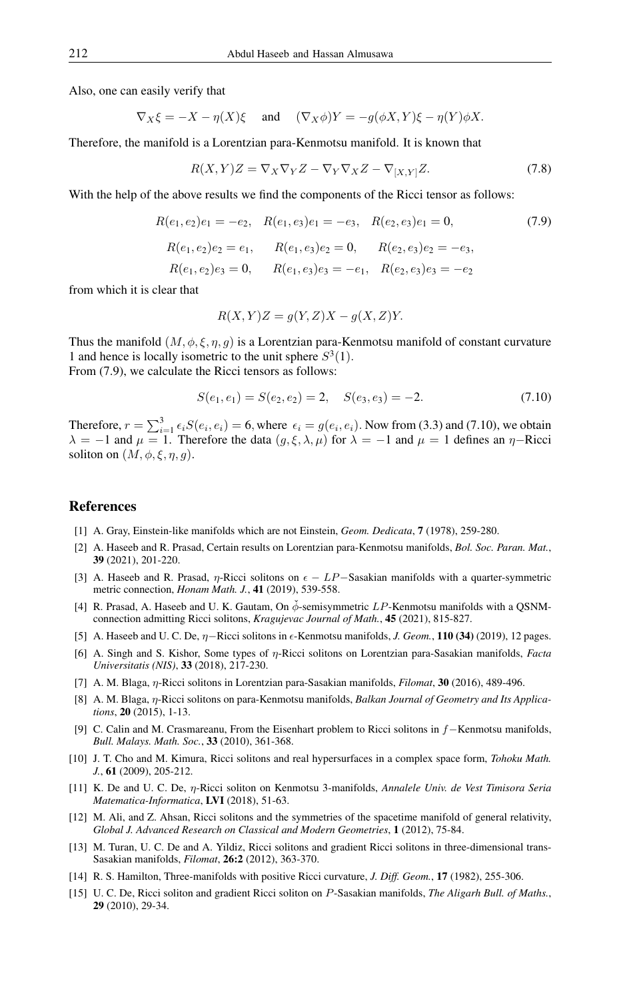Also, one can easily verify that

$$
\nabla_X \xi = -X - \eta(X)\xi \quad \text{and} \quad (\nabla_X \phi)Y = -g(\phi X, Y)\xi - \eta(Y)\phi X.
$$

Therefore, the manifold is a Lorentzian para-Kenmotsu manifold. It is known that

$$
R(X,Y)Z = \nabla_X \nabla_Y Z - \nabla_Y \nabla_X Z - \nabla_{[X,Y]} Z.
$$
\n(7.8)

With the help of the above results we find the components of the Ricci tensor as follows:

$$
R(e_1, e_2)e_1 = -e_2, \quad R(e_1, e_3)e_1 = -e_3, \quad R(e_2, e_3)e_1 = 0,
$$
\n
$$
R(e_1, e_2)e_2 = e_1, \quad R(e_1, e_3)e_2 = 0, \quad R(e_2, e_3)e_2 = -e_3,
$$
\n
$$
R(e_1, e_2)e_3 = 0, \quad R(e_1, e_3)e_3 = -e_1, \quad R(e_2, e_3)e_3 = -e_2
$$
\n(7.9)

from which it is clear that

$$
R(X,Y)Z = g(Y,Z)X - g(X,Z)Y.
$$

Thus the manifold  $(M, \phi, \xi, \eta, g)$  is a Lorentzian para-Kenmotsu manifold of constant curvature 1 and hence is locally isometric to the unit sphere  $S^3(1)$ . From (7.9), we calculate the Ricci tensors as follows:

$$
S(e_1, e_1) = S(e_2, e_2) = 2, \quad S(e_3, e_3) = -2.
$$
\n(7.10)

Therefore,  $r = \sum_{i=1}^{3} \epsilon_i S(e_i, e_i) = 6$ , where  $\epsilon_i = g(e_i, e_i)$ . Now from (3.3) and (7.10), we obtain  $\lambda = -1$  and  $\mu = 1$ . Therefore the data  $(g, \xi, \lambda, \mu)$  for  $\lambda = -1$  and  $\mu = 1$  defines an  $\eta$ -Ricci soliton on  $(M, \phi, \xi, \eta, q)$ .

#### <span id="page-7-0"></span>References

- [1] A. Gray, Einstein-like manifolds which are not Einstein, *Geom. Dedicata*, 7 (1978), 259-280.
- [2] A. Haseeb and R. Prasad, Certain results on Lorentzian para-Kenmotsu manifolds, *Bol. Soc. Paran. Mat.*, 39 (2021), 201-220.
- [3] A. Haseeb and R. Prasad,  $\eta$ -Ricci solitons on  $\epsilon LP$ –Sasakian manifolds with a quarter-symmetric metric connection, *Honam Math. J.*, 41 (2019), 539-558.
- [4] R. Prasad, A. Haseeb and U. K. Gautam, On  $\check{\phi}$ -semisymmetric LP-Kenmotsu manifolds with a OSNMconnection admitting Ricci solitons, *Kragujevac Journal of Math.*, 45 (2021), 815-827.
- [5] A. Haseeb and U. C. De, η−Ricci solitons in -Kenmotsu manifolds, *J. Geom.*, 110 (34) (2019), 12 pages.
- [6] A. Singh and S. Kishor, Some types of η-Ricci solitons on Lorentzian para-Sasakian manifolds, *Facta Universitatis (NIS)*, 33 (2018), 217-230.
- [7] A. M. Blaga, η-Ricci solitons in Lorentzian para-Sasakian manifolds, *Filomat*, 30 (2016), 489-496.
- [8] A. M. Blaga, η-Ricci solitons on para-Kenmotsu manifolds, *Balkan Journal of Geometry and Its Applications*, 20 (2015), 1-13.
- [9] C. Calin and M. Crasmareanu, From the Eisenhart problem to Ricci solitons in f−Kenmotsu manifolds, *Bull. Malays. Math. Soc.*, 33 (2010), 361-368.
- [10] J. T. Cho and M. Kimura, Ricci solitons and real hypersurfaces in a complex space form, *Tohoku Math. J.*, 61 (2009), 205-212.
- [11] K. De and U. C. De, η-Ricci soliton on Kenmotsu 3-manifolds, *Annalele Univ. de Vest Timisora Seria Matematica-Informatica*, LVI (2018), 51-63.
- [12] M. Ali, and Z. Ahsan, Ricci solitons and the symmetries of the spacetime manifold of general relativity, *Global J. Advanced Research on Classical and Modern Geometries*, 1 (2012), 75-84.
- [13] M. Turan, U. C. De and A. Yildiz, Ricci solitons and gradient Ricci solitons in three-dimensional trans-Sasakian manifolds, *Filomat*, 26:2 (2012), 363-370.
- [14] R. S. Hamilton, Three-manifolds with positive Ricci curvature, *J. Diff. Geom.*, 17 (1982), 255-306.
- [15] U. C. De, Ricci soliton and gradient Ricci soliton on P-Sasakian manifolds, *The Aligarh Bull. of Maths.*, 29 (2010), 29-34.